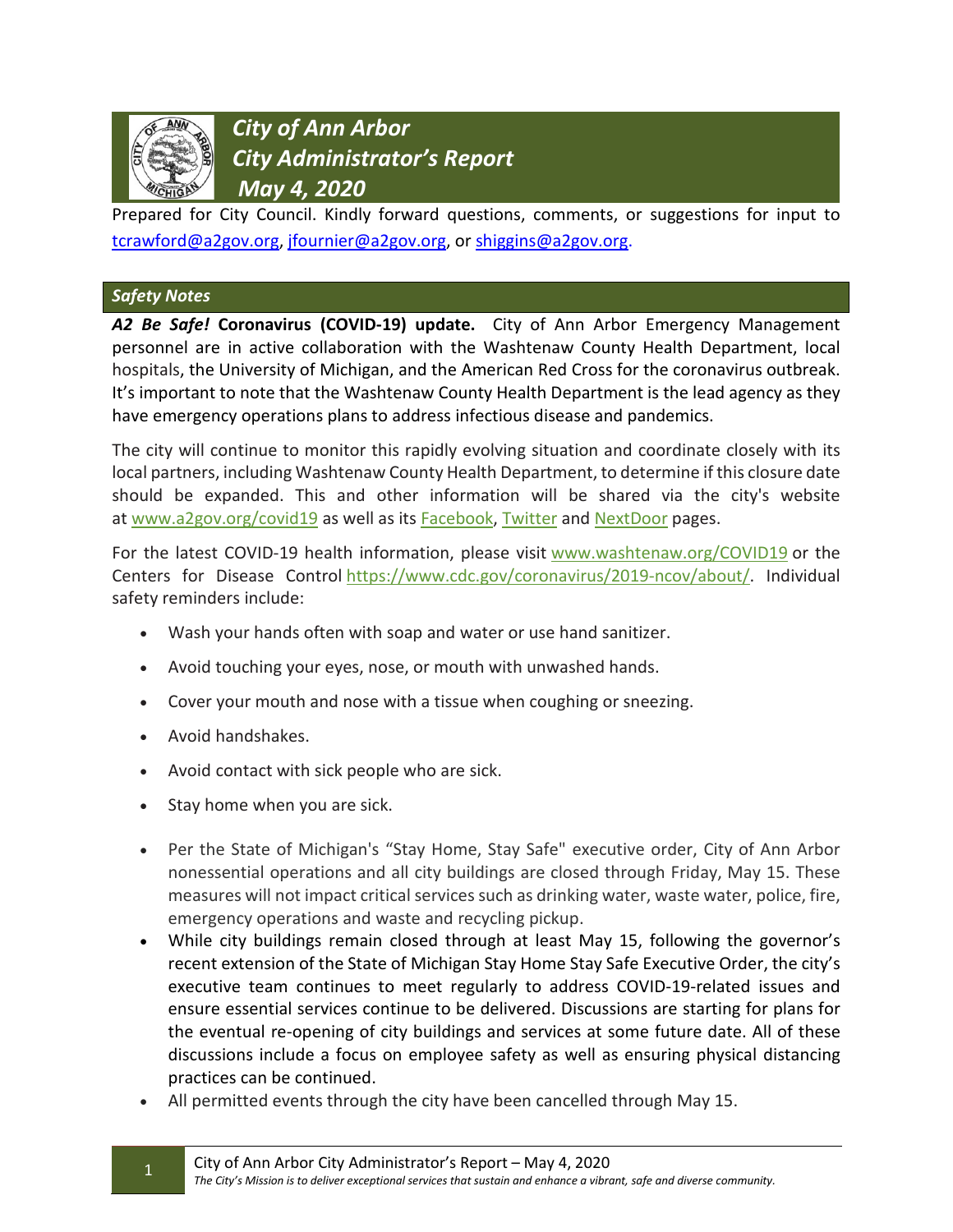

*City of Ann Arbor City Administrator's Report May 4, 2020*

Prepared for City Council. Kindly forward questions, comments, or suggestions for input to [tcrawford@a2gov.org,](mailto:tcrawford@a2gov.org) [jfournier@a2gov.org,](mailto:jfournier@a2gov.org) or [shiggins@a2gov.org.](mailto:shiggins@a2gov.org)

## *Safety Notes*

*A2 Be Safe!* **Coronavirus (COVID-19) update.** City of Ann Arbor Emergency Management personnel are in active collaboration with the Washtenaw County Health Department, local hospitals, the University of Michigan, and the American Red Cross for the coronavirus outbreak. It's important to note that the Washtenaw County Health Department is the lead agency as they have emergency operations plans to address infectious disease and pandemics.

The city will continue to monitor this rapidly evolving situation and coordinate closely with its local partners, including Washtenaw County Health Department, to determine if this closure date should be expanded. This and other information will be shared via the city's website at [www.a2gov.org/covid19](http://www.a2gov.org/covid19) as well as its [Facebook,](https://www.facebook.com/TheCityOfAnnArbor/) [Twitter](https://twitter.com/A2GOV) and [NextDoor](https://nextdoor.com/agency-detail/mi/ann-arbor/city-of-ann-arbor-1/) pages.

For the latest COVID-19 health information, please visit [www.washtenaw.org/COVID19](https://www.washtenaw.org/3095/COVID-19) or the Centers for Disease Control [https://www.cdc.gov/coronavirus/2019-ncov/about/.](https://www.cdc.gov/coronavirus/2019-ncov/about/) Individual safety reminders include:

- Wash your hands often with soap and water or use hand sanitizer.
- Avoid touching your eyes, nose, or mouth with unwashed hands.
- Cover your mouth and nose with a tissue when coughing or sneezing.
- Avoid handshakes.
- Avoid contact with sick people who are sick.
- Stay home when you are sick.
- Per the State of Michigan's "Stay Home, Stay Safe" executive order, City of Ann Arbor nonessential operations and all city buildings are closed through Friday, May 15. These measures will not impact critical services such as drinking water, waste water, police, fire, emergency operations and waste and recycling pickup.
- While city buildings remain closed through at least May 15, following the governor's recent extension of the State of Michigan Stay Home Stay Safe Executive Order, the city's executive team continues to meet regularly to address COVID-19-related issues and ensure essential services continue to be delivered. Discussions are starting for plans for the eventual re-opening of city buildings and services at some future date. All of these discussions include a focus on employee safety as well as ensuring physical distancing practices can be continued.
- All permitted events through the city have been cancelled through May 15.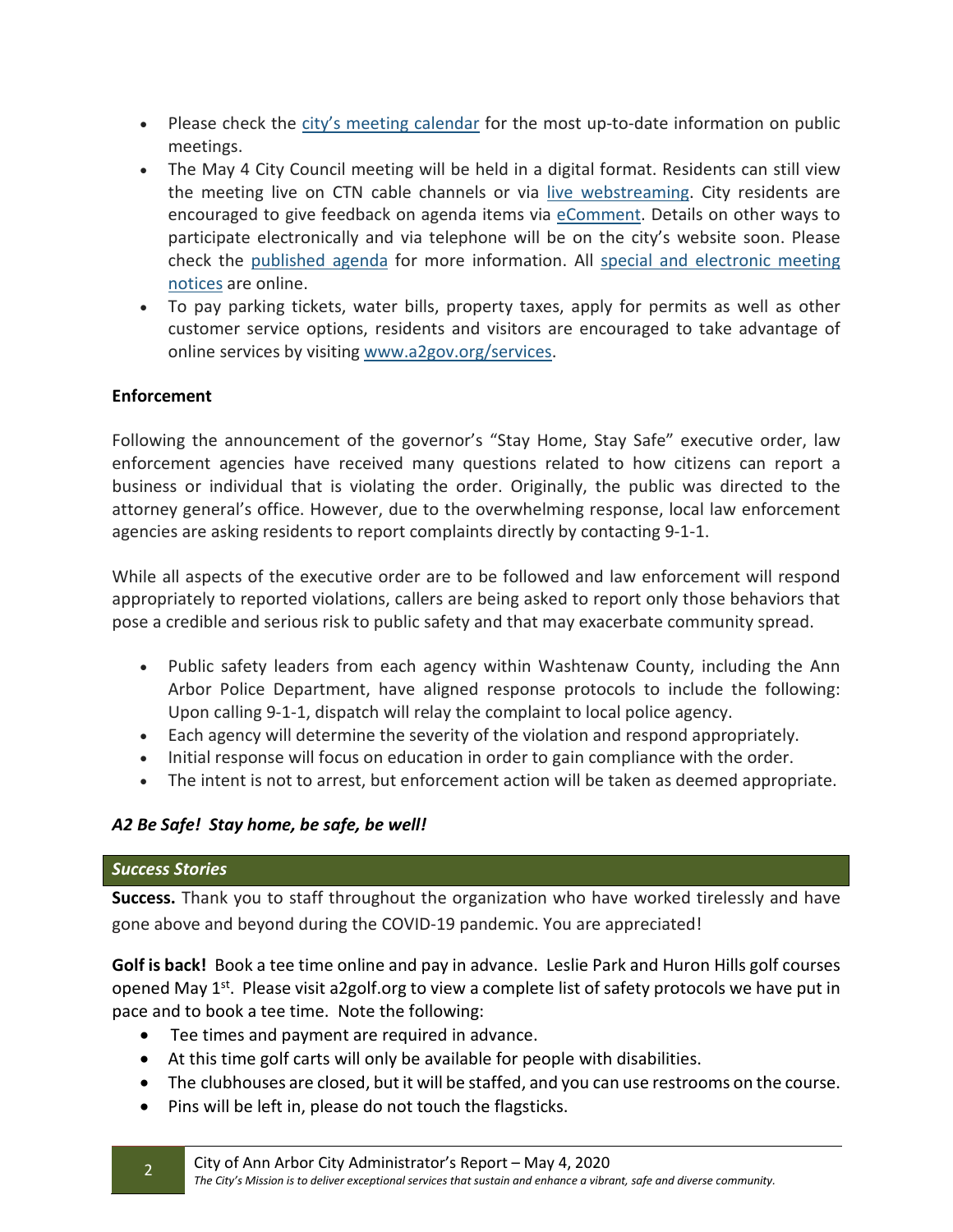- Please check the [city's meeting calendar](https://gcc02.safelinks.protection.outlook.com/?url=https%3A%2F%2Flnks.gd%2Fl%2FeyJhbGciOiJIUzI1NiJ9.eyJidWxsZXRpbl9saW5rX2lkIjoxMDMsInVyaSI6ImJwMjpjbGljayIsImJ1bGxldGluX2lkIjoiMjAyMDA0MDEuMTk2MTkxMTEiLCJ1cmwiOiJodHRwczovL2NhbGVuZGFyLmEyZ292Lm9yZy9DYWxlbmRhck5PVy5hc3B4P2Zyb21kYXRlPTMvMS8yMDIwJnRvZGF0ZT0zLzMxLzIwMjAmZGlzcGxheT1Nb250aCZtb3JlPTEvMS8wMDAxIn0.A_R2M7xqKcUajzIq9UL4ttNabO8LL1eUp4RTLIfBoik%2Fbr%2F76915917897-l&data=02%7C01%7Cshiggins%40a2gov.org%7Cc4cdd3e82f4e4a35457908d7d67a6c12%7C48afa58563754170b9d1e9c568bb92f3%7C0%7C0%7C637213693618001353&sdata=FlkoSeqvoWQ3mr4bGGxp3Z7IXaPIZkikQDATaTW4HIU%3D&reserved=0) for the most up-to-date information on public meetings.
- The May 4 City Council meeting will be held in a digital format. Residents can still view the meeting live on CTN cable channels or via [live webstreaming.](https://gcc02.safelinks.protection.outlook.com/?url=https%3A%2F%2Flnks.gd%2Fl%2FeyJhbGciOiJIUzI1NiJ9.eyJidWxsZXRpbl9saW5rX2lkIjoxMDQsInVyaSI6ImJwMjpjbGljayIsImJ1bGxldGluX2lkIjoiMjAyMDA0MDEuMTk2MTkxMTEiLCJ1cmwiOiJodHRwczovL3d3dy55b3V0dWJlLmNvbS91c2VyL2N0bmFubmFyYm9yIn0.p4DoyrKSpHM_e-aJRWaeJsmBg0pAbsN1rXZ50SsOjo4%2Fbr%2F76915917897-l&data=02%7C01%7Cshiggins%40a2gov.org%7Cc4cdd3e82f4e4a35457908d7d67a6c12%7C48afa58563754170b9d1e9c568bb92f3%7C0%7C0%7C637213693618001353&sdata=SEgttSN3RuWxN8U1%2BQbO3oEWtvUgq%2FUOj6PJCJN%2BqOs%3D&reserved=0) City residents are encouraged to give feedback on agenda items via [eComment.](https://gcc02.safelinks.protection.outlook.com/?url=https%3A%2F%2Flnks.gd%2Fl%2FeyJhbGciOiJIUzI1NiJ9.eyJidWxsZXRpbl9saW5rX2lkIjoxMDUsInVyaSI6ImJwMjpjbGljayIsImJ1bGxldGluX2lkIjoiMjAyMDA0MDEuMTk2MTkxMTEiLCJ1cmwiOiJodHRwOi8vYTJnb3YubGVnaXN0YXIuY29tL0NhbGVuZGFyLmFzcHgifQ.caAnmLx3KuEPbg2u2D4ms1AoAlUSMx9yGisD0Lju1bE%2Fbr%2F76915917897-l&data=02%7C01%7Cshiggins%40a2gov.org%7Cc4cdd3e82f4e4a35457908d7d67a6c12%7C48afa58563754170b9d1e9c568bb92f3%7C0%7C0%7C637213693618001353&sdata=CFT30oWEDhk%2F4Abj7pgH%2BGOV2EOr%2BRNiX5iQwmlrLus%3D&reserved=0) Details on other ways to participate electronically and via telephone will be on the city's website soon. Please check the [published agenda](https://gcc02.safelinks.protection.outlook.com/?url=https%3A%2F%2Flnks.gd%2Fl%2FeyJhbGciOiJIUzI1NiJ9.eyJidWxsZXRpbl9saW5rX2lkIjoxMDYsInVyaSI6ImJwMjpjbGljayIsImJ1bGxldGluX2lkIjoiMjAyMDA0MDEuMTk2MTkxMTEiLCJ1cmwiOiJodHRwOi8vYTJnb3YubGVnaXN0YXIuY29tL0NhbGVuZGFyLmFzcHgifQ.mA_lW1ZnJG5Rea8jLrfY5ngySvLr3I8xFkNqeo4rzeo%2Fbr%2F76915917897-l&data=02%7C01%7Cshiggins%40a2gov.org%7Cc4cdd3e82f4e4a35457908d7d67a6c12%7C48afa58563754170b9d1e9c568bb92f3%7C0%7C0%7C637213693618011317&sdata=IqMjGkmmxqk9TR1RMhlb0DH79LZRtKwZ9CF9i7%2BzjBM%3D&reserved=0) for more information. All [special and electronic meeting](https://gcc02.safelinks.protection.outlook.com/?url=https%3A%2F%2Flnks.gd%2Fl%2FeyJhbGciOiJIUzI1NiJ9.eyJidWxsZXRpbl9saW5rX2lkIjoxMDcsInVyaSI6ImJwMjpjbGljayIsImJ1bGxldGluX2lkIjoiMjAyMDA0MDEuMTk2MTkxMTEiLCJ1cmwiOiJodHRwczovL3d3dy5hMmdvdi5vcmcvUGFnZXMvU3BlY2lhbC1NZWV0aW5ncy1hbmQtU2Vzc2lvbnMuYXNweCJ9.uET4WVNCKjxvPGYg46wVUKxVM73BTrAO0FcjzwES1dw%2Fbr%2F76915917897-l&data=02%7C01%7Cshiggins%40a2gov.org%7Cc4cdd3e82f4e4a35457908d7d67a6c12%7C48afa58563754170b9d1e9c568bb92f3%7C0%7C0%7C637213693618011317&sdata=OR6XSUYZYy7xDJ5Y3Dxu1bS2DEfs%2B5nvv9OoDJKcltQ%3D&reserved=0)  [notices](https://gcc02.safelinks.protection.outlook.com/?url=https%3A%2F%2Flnks.gd%2Fl%2FeyJhbGciOiJIUzI1NiJ9.eyJidWxsZXRpbl9saW5rX2lkIjoxMDcsInVyaSI6ImJwMjpjbGljayIsImJ1bGxldGluX2lkIjoiMjAyMDA0MDEuMTk2MTkxMTEiLCJ1cmwiOiJodHRwczovL3d3dy5hMmdvdi5vcmcvUGFnZXMvU3BlY2lhbC1NZWV0aW5ncy1hbmQtU2Vzc2lvbnMuYXNweCJ9.uET4WVNCKjxvPGYg46wVUKxVM73BTrAO0FcjzwES1dw%2Fbr%2F76915917897-l&data=02%7C01%7Cshiggins%40a2gov.org%7Cc4cdd3e82f4e4a35457908d7d67a6c12%7C48afa58563754170b9d1e9c568bb92f3%7C0%7C0%7C637213693618011317&sdata=OR6XSUYZYy7xDJ5Y3Dxu1bS2DEfs%2B5nvv9OoDJKcltQ%3D&reserved=0) are online.
- To pay parking tickets, water bills, property taxes, apply for permits as well as other customer service options, residents and visitors are encouraged to take advantage of online services by visiting [www.a2gov.org/services.](https://gcc02.safelinks.protection.outlook.com/?url=https%3A%2F%2Flnks.gd%2Fl%2FeyJhbGciOiJIUzI1NiJ9.eyJidWxsZXRpbl9saW5rX2lkIjoxMDgsInVyaSI6ImJwMjpjbGljayIsImJ1bGxldGluX2lkIjoiMjAyMDA0MDEuMTk2MTkxMTEiLCJ1cmwiOiJodHRwczovL3d3dy5hMmdvdi5vcmcvc2VydmljZXMvUGFnZXMvSG9tZS5hc3B4In0.IejL-u0Cf6shHV9rzeZb_ytn5e4BuhM15f2kyTU5ujE%2Fbr%2F76915917897-l&data=02%7C01%7Cshiggins%40a2gov.org%7Cc4cdd3e82f4e4a35457908d7d67a6c12%7C48afa58563754170b9d1e9c568bb92f3%7C0%7C0%7C637213693618021267&sdata=FRWcxVqaVLY8es9cDgXxdvwxEM0jtzCTi47lDEXS4T4%3D&reserved=0)

## **Enforcement**

Following the announcement of the governor's "Stay Home, Stay Safe" executive order, law enforcement agencies have received many questions related to how citizens can report a business or individual that is violating the order. Originally, the public was directed to the attorney general's office. However, due to the overwhelming response, local law enforcement agencies are asking residents to report complaints directly by contacting 9-1-1.

While all aspects of the executive order are to be followed and law enforcement will respond appropriately to reported violations, callers are being asked to report only those behaviors that pose a credible and serious risk to public safety and that may exacerbate community spread.

- Public safety leaders from each agency within Washtenaw County, including the Ann Arbor Police Department, have aligned response protocols to include the following: Upon calling 9-1-1, dispatch will relay the complaint to local police agency.
- Each agency will determine the severity of the violation and respond appropriately.
- Initial response will focus on education in order to gain compliance with the order.
- The intent is not to arrest, but enforcement action will be taken as deemed appropriate.

## *A2 Be Safe! Stay home, be safe, be well!*

### *Success Stories*

**Success.** Thank you to staff throughout the organization who have worked tirelessly and have gone above and beyond during the COVID-19 pandemic. You are appreciated!

**Golf is back!** Book a tee time online and pay in advance. Leslie Park and Huron Hills golf courses opened May  $1^{st}$ . Please visit a2golf.org to view a complete list of safety protocols we have put in pace and to book a tee time. Note the following:

- Tee times and payment are required in advance.
- At this time golf carts will only be available for people with disabilities.
- The clubhouses are closed, but it will be staffed, and you can use restrooms on the course.
- Pins will be left in, please do not touch the flagsticks.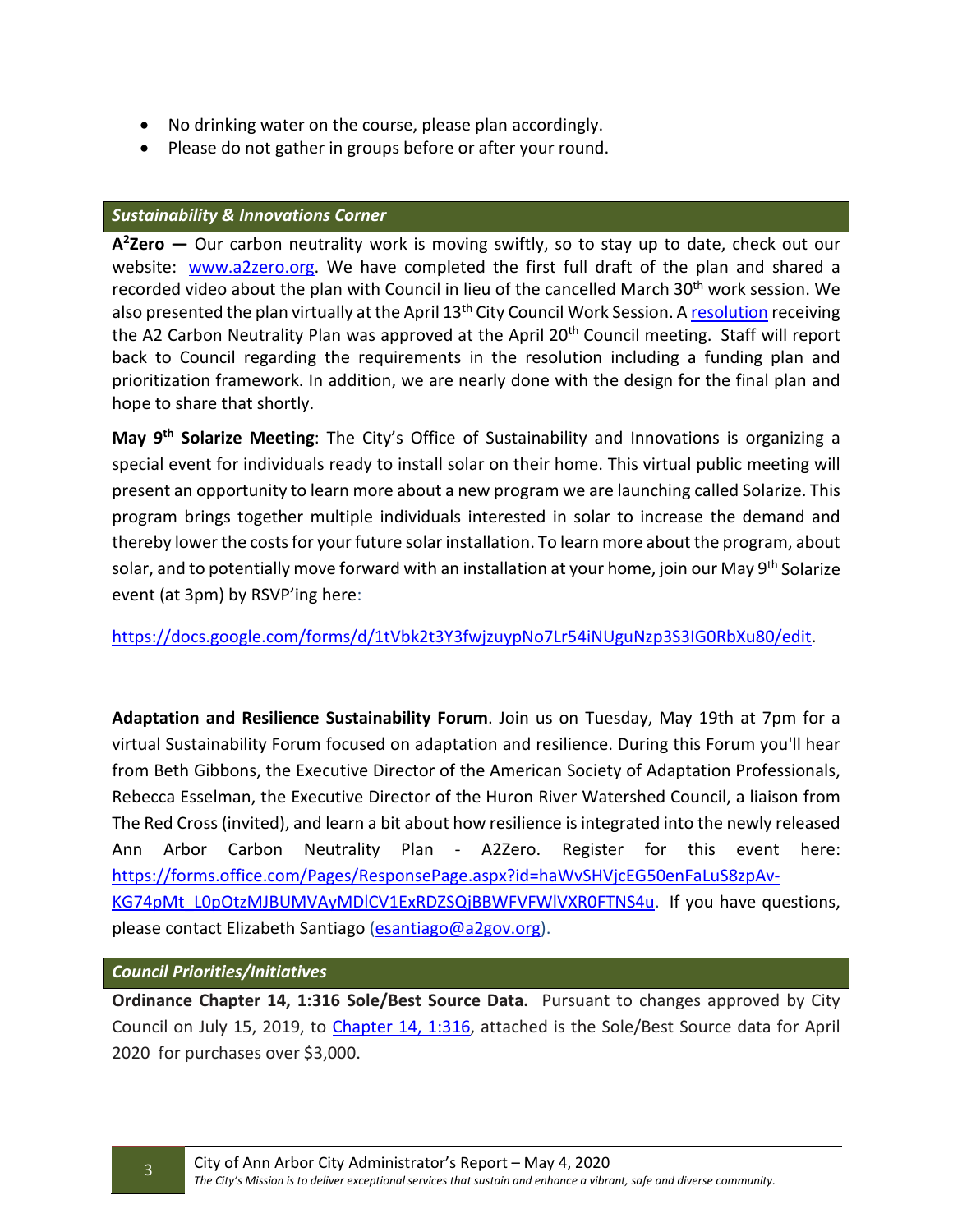- No drinking water on the course, please plan accordingly.
- Please do not gather in groups before or after your round.

#### *Sustainability & Innovations Corner*

**A2Zero —** Our carbon neutrality work is moving swiftly, so to stay up to date, check out our website: [www.a2zero.org.](https://gcc02.safelinks.protection.outlook.com/?url=http%3A%2F%2Fwww.a2zero.org%2F&data=02%7C01%7CSHiggins%40a2gov.org%7C3b4b019890bc4bc1be7b08d7f02717f8%7C48afa58563754170b9d1e9c568bb92f3%7C0%7C0%7C637241923007142726&sdata=ZcU0BuYgs5gOw%2Bsj5C%2FFfVRTcVOUJXkEpXPm87R3E7M%3D&reserved=0) We have completed the first full draft of the plan and shared a recorded video about the plan with Council in lieu of the cancelled March 30<sup>th</sup> work session. We also presented the plan virtually at the April  $13<sup>th</sup>$  City Council Work Session. A [resolution](https://gcc02.safelinks.protection.outlook.com/?url=http%3A%2F%2Fa2gov.legistar.com%2FLegislationDetail.aspx%3FID%3D4413284%26GUID%3DD4E158F6-26D6-4FF9-A1A7-844F8769C6BE%26Options%3DID%257CText%257C%26Search%3Dcarbon%26FullText%3D1&data=02%7C01%7CSHiggins%40a2gov.org%7C3b4b019890bc4bc1be7b08d7f02717f8%7C48afa58563754170b9d1e9c568bb92f3%7C0%7C0%7C637241923007142726&sdata=Zf4Vd8hHPdViX0qO3PlBeKiwxFaLrz8Pd9oKnRl33JI%3D&reserved=0) receiving the A2 Carbon Neutrality Plan was approved at the April 20<sup>th</sup> Council meeting. Staff will report back to Council regarding the requirements in the resolution including a funding plan and prioritization framework. In addition, we are nearly done with the design for the final plan and hope to share that shortly.

**May 9th Solarize Meeting**: The City's Office of Sustainability and Innovations is organizing a special event for individuals ready to install solar on their home. This virtual public meeting will present an opportunity to learn more about a new program we are launching called Solarize. This program brings together multiple individuals interested in solar to increase the demand and thereby lower the costs for your future solar installation. To learn more about the program, about solar, and to potentially move forward with an installation at your home, join our May 9<sup>th</sup> Solarize event (at 3pm) by RSVP'ing here:

[https://docs.google.com/forms/d/1tVbk2t3Y3fwjzuypNo7Lr54iNUguNzp3S3IG0RbXu80/edit.](https://gcc02.safelinks.protection.outlook.com/?url=https%3A%2F%2Fdocs.google.com%2Fforms%2Fd%2F1tVbk2t3Y3fwjzuypNo7Lr54iNUguNzp3S3IG0RbXu80%2Fedit&data=02%7C01%7CSHiggins%40a2gov.org%7C3b4b019890bc4bc1be7b08d7f02717f8%7C48afa58563754170b9d1e9c568bb92f3%7C0%7C0%7C637241923007152686&sdata=D04wFFmflzMfvgnqwTUVGZCsOHKE3YiaBcQhYUIf3Pg%3D&reserved=0)

**Adaptation and Resilience Sustainability Forum**. Join us on Tuesday, May 19th at 7pm for a virtual Sustainability Forum focused on adaptation and resilience. During this Forum you'll hear from Beth Gibbons, the Executive Director of the American Society of Adaptation Professionals, Rebecca Esselman, the Executive Director of the Huron River Watershed Council, a liaison from The Red Cross (invited), and learn a bit about how resilience is integrated into the newly released Ann Arbor Carbon Neutrality Plan - A2Zero. Register for this event here: [https://forms.office.com/Pages/ResponsePage.aspx?id=haWvSHVjcEG50enFaLuS8zpAv-](https://gcc02.safelinks.protection.outlook.com/?url=https%3A%2F%2Fforms.office.com%2FPages%2FResponsePage.aspx%3Fid%3DhaWvSHVjcEG50enFaLuS8zpAv-KG74pMt_L0pOtzMJBUMVAyMDlCV1ExRDZSQjBBWFVFWlVXR0FTNS4u&data=02%7C01%7CSHiggins%40a2gov.org%7C3b4b019890bc4bc1be7b08d7f02717f8%7C48afa58563754170b9d1e9c568bb92f3%7C0%7C0%7C637241923007152686&sdata=0gC2DmDMwyvh1loBrJluhDhsJSCc5%2FK%2Fufp00b8OGfs%3D&reserved=0)[KG74pMt\\_L0pOtzMJBUMVAyMDlCV1ExRDZSQjBBWFVFWlVXR0FTNS4u.](https://gcc02.safelinks.protection.outlook.com/?url=https%3A%2F%2Fforms.office.com%2FPages%2FResponsePage.aspx%3Fid%3DhaWvSHVjcEG50enFaLuS8zpAv-KG74pMt_L0pOtzMJBUMVAyMDlCV1ExRDZSQjBBWFVFWlVXR0FTNS4u&data=02%7C01%7CSHiggins%40a2gov.org%7C3b4b019890bc4bc1be7b08d7f02717f8%7C48afa58563754170b9d1e9c568bb92f3%7C0%7C0%7C637241923007152686&sdata=0gC2DmDMwyvh1loBrJluhDhsJSCc5%2FK%2Fufp00b8OGfs%3D&reserved=0) If you have questions, please contact Elizabeth Santiago [\(esantiago@a2gov.org\)](mailto:esantiago@a2gov.org).

### *Council Priorities/Initiatives*

**Ordinance Chapter 14, 1:316 Sole/Best Source Data.** Pursuant to changes approved by City Council on July 15, 2019, to [Chapter 14, 1:316,](http://a2gov.legistar.com/LegislationDetail.aspx?ID=3972313&GUID=5349E9FF-F48A-4325-8C4A-A9F6E04BD12C&Options=ID%7CText%7C&Search=&FullText=1) attached is the Sole/Best Source data for April 2020 for purchases over \$3,000.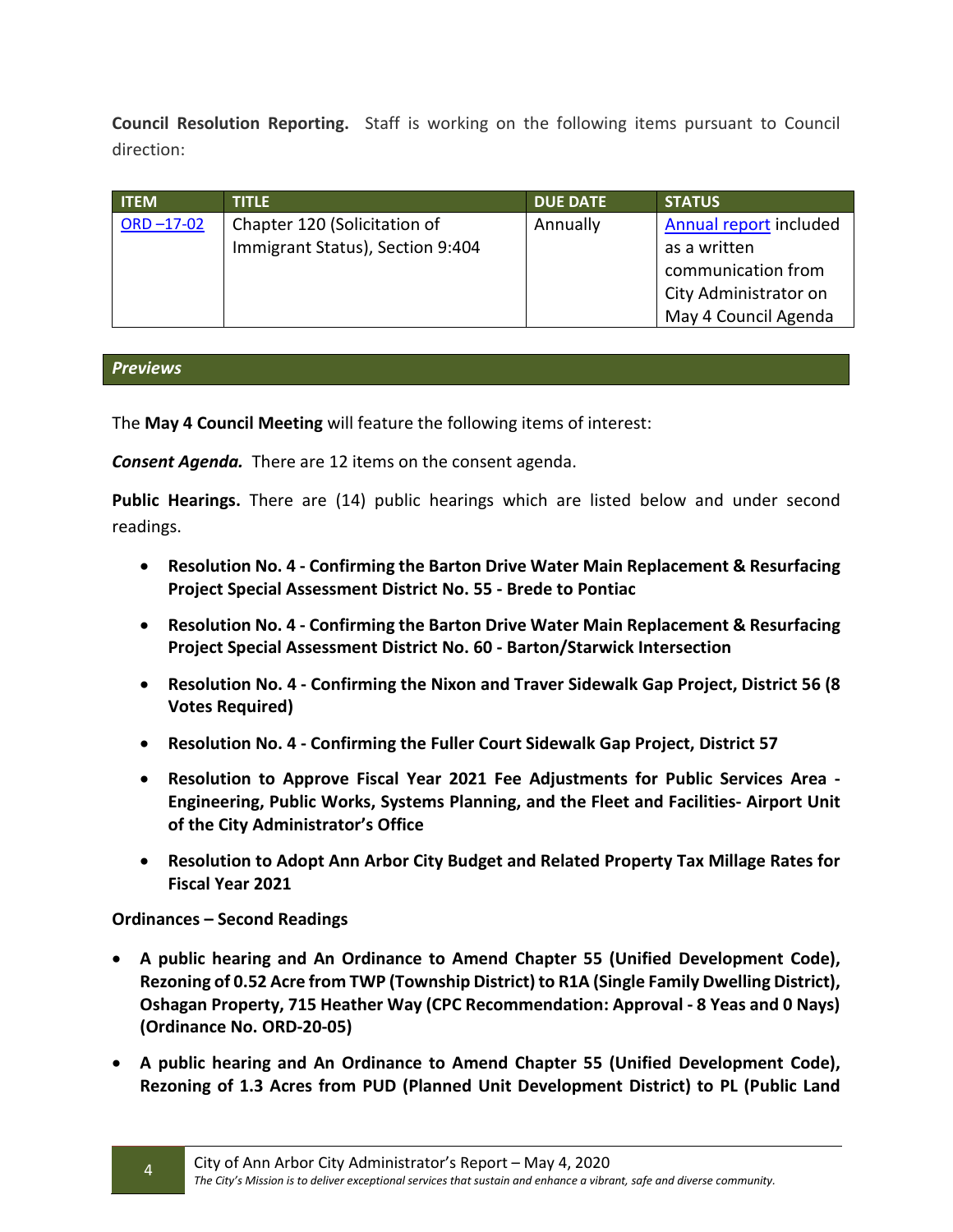**Council Resolution Reporting.** Staff is working on the following items pursuant to Council direction:

| <b>ITEM</b>  | <b>TITLE</b>                     | <b>DUE DATE</b> | <b>STATUS</b>          |
|--------------|----------------------------------|-----------------|------------------------|
| $ORD -17-02$ | Chapter 120 (Solicitation of     | Annually        | Annual report included |
|              | Immigrant Status), Section 9:404 |                 | as a written           |
|              |                                  |                 | communication from     |
|              |                                  |                 | City Administrator on  |
|              |                                  |                 | May 4 Council Agenda   |

### *Previews*

The **May 4 Council Meeting** will feature the following items of interest:

*Consent Agenda.* There are 12 items on the consent agenda.

**Public Hearings.** There are (14) public hearings which are listed below and under second readings.

- **Resolution No. 4 - Confirming the Barton Drive Water Main Replacement & Resurfacing Project Special Assessment District No. 55 - Brede to Pontiac**
- **Resolution No. 4 - Confirming the Barton Drive Water Main Replacement & Resurfacing Project Special Assessment District No. 60 - Barton/Starwick Intersection**
- **Resolution No. 4 - Confirming the Nixon and Traver Sidewalk Gap Project, District 56 (8 Votes Required)**
- **Resolution No. 4 - Confirming the Fuller Court Sidewalk Gap Project, District 57**
- **Resolution to Approve Fiscal Year 2021 Fee Adjustments for Public Services Area - Engineering, Public Works, Systems Planning, and the Fleet and Facilities- Airport Unit of the City Administrator's Office**
- **Resolution to Adopt Ann Arbor City Budget and Related Property Tax Millage Rates for Fiscal Year 2021**

## **Ordinances – Second Readings**

- **A public hearing and An Ordinance to Amend Chapter 55 (Unified Development Code), Rezoning of 0.52 Acre from TWP (Township District) to R1A (Single Family Dwelling District), Oshagan Property, 715 Heather Way (CPC Recommendation: Approval - 8 Yeas and 0 Nays) (Ordinance No. ORD-20-05)**
- **A public hearing and An Ordinance to Amend Chapter 55 (Unified Development Code), Rezoning of 1.3 Acres from PUD (Planned Unit Development District) to PL (Public Land**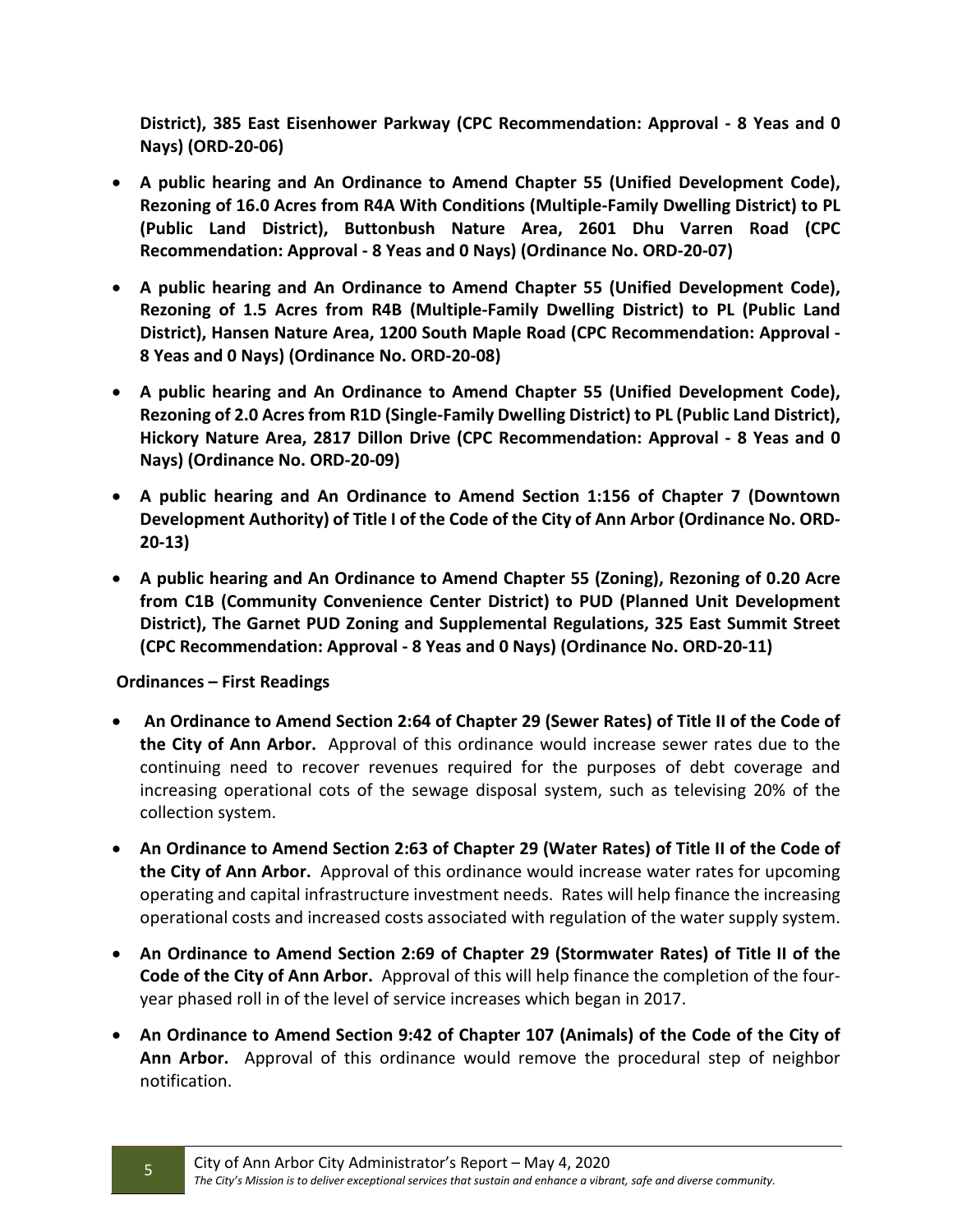**District), 385 East Eisenhower Parkway (CPC Recommendation: Approval - 8 Yeas and 0 Nays) (ORD-20-06)**

- **A public hearing and An Ordinance to Amend Chapter 55 (Unified Development Code), Rezoning of 16.0 Acres from R4A With Conditions (Multiple-Family Dwelling District) to PL (Public Land District), Buttonbush Nature Area, 2601 Dhu Varren Road (CPC Recommendation: Approval - 8 Yeas and 0 Nays) (Ordinance No. ORD-20-07)**
- **A public hearing and An Ordinance to Amend Chapter 55 (Unified Development Code), Rezoning of 1.5 Acres from R4B (Multiple-Family Dwelling District) to PL (Public Land District), Hansen Nature Area, 1200 South Maple Road (CPC Recommendation: Approval - 8 Yeas and 0 Nays) (Ordinance No. ORD-20-08)**
- **A public hearing and An Ordinance to Amend Chapter 55 (Unified Development Code), Rezoning of 2.0 Acres from R1D (Single-Family Dwelling District) to PL (Public Land District), Hickory Nature Area, 2817 Dillon Drive (CPC Recommendation: Approval - 8 Yeas and 0 Nays) (Ordinance No. ORD-20-09)**
- **A public hearing and An Ordinance to Amend Section 1:156 of Chapter 7 (Downtown Development Authority) of Title I of the Code of the City of Ann Arbor (Ordinance No. ORD-20-13)**
- **A public hearing and An Ordinance to Amend Chapter 55 (Zoning), Rezoning of 0.20 Acre from C1B (Community Convenience Center District) to PUD (Planned Unit Development District), The Garnet PUD Zoning and Supplemental Regulations, 325 East Summit Street (CPC Recommendation: Approval - 8 Yeas and 0 Nays) (Ordinance No. ORD-20-11)**

## **Ordinances – First Readings**

- **An Ordinance to Amend Section 2:64 of Chapter 29 (Sewer Rates) of Title II of the Code of the City of Ann Arbor.** Approval of this ordinance would increase sewer rates due to the continuing need to recover revenues required for the purposes of debt coverage and increasing operational cots of the sewage disposal system, such as televising 20% of the collection system.
- **An Ordinance to Amend Section 2:63 of Chapter 29 (Water Rates) of Title II of the Code of the City of Ann Arbor.** Approval of this ordinance would increase water rates for upcoming operating and capital infrastructure investment needs. Rates will help finance the increasing operational costs and increased costs associated with regulation of the water supply system.
- **An Ordinance to Amend Section 2:69 of Chapter 29 (Stormwater Rates) of Title II of the Code of the City of Ann Arbor.** Approval of this will help finance the completion of the fouryear phased roll in of the level of service increases which began in 2017.
- **An Ordinance to Amend Section 9:42 of Chapter 107 (Animals) of the Code of the City of Ann Arbor.** Approval of this ordinance would remove the procedural step of neighbor notification.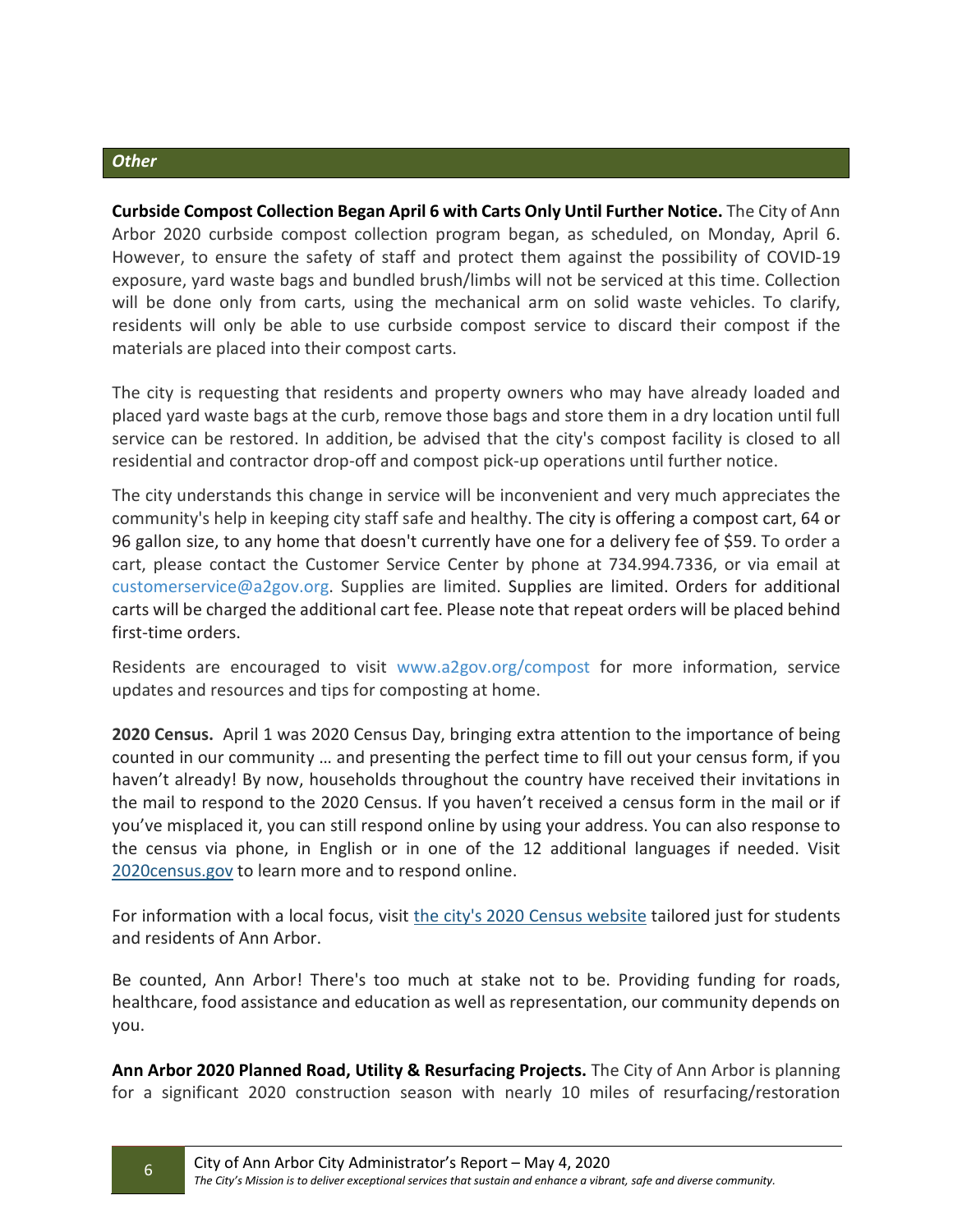#### *Other*

**Curbside Compost Collection Began April 6 with Carts Only Until Further Notice.** The City of Ann Arbor 2020 curbside compost collection program began, as scheduled, on Monday, April 6. However, to ensure the safety of staff and protect them against the possibility of COVID-19 exposure, yard waste bags and bundled brush/limbs will not be serviced at this time. Collection will be done only from carts, using the mechanical arm on solid waste vehicles. To clarify, residents will only be able to use curbside compost service to discard their compost if the materials are placed into their compost carts.

The city is requesting that residents and property owners who may have already loaded and placed yard waste bags at the curb, remove those bags and store them in a dry location until full service can be restored. In addition, be advised that the city's compost facility is closed to all residential and contractor drop-off and compost pick-up operations until further notice.

The city understands this change in service will be inconvenient and very much appreciates the community's help in keeping city staff safe and healthy. The city is offering a compost cart, 64 or 96 gallon size, to any home that doesn't currently have one for a delivery fee of \$59. To order a cart, please contact the Customer Service Center by phone at 734.994.7336, or via email at [customerservice@a2gov.org.](mailto:customerservice@a2gov.org) Supplies are limited. Supplies are limited. Orders for additional carts will be charged the additional cart fee. Please note that repeat orders will be placed behind first-time orders.

Residents are encouraged to visit [www.a2gov.org/compost](http://www.a2gov.org/compost) for more information, service updates and resources and tips for composting at home.

**2020 Census.** April 1 was 2020 Census Day, bringing extra attention to the importance of being counted in our community … and presenting the perfect time to fill out your census form, if you haven't already! By now, households throughout the country have received their invitations in the mail to respond to the 2020 Census. If you haven't received a census form in the mail or if you've misplaced it, you can still respond online by using your address. You can also response to the census via phone, in English or in one of the 12 additional languages if needed. Visit 2020 census.gov to learn more and to respond online.

For information with a local focus, visit [the city's](https://gcc02.safelinks.protection.outlook.com/?url=https%3A%2F%2Flnks.gd%2Fl%2FeyJhbGciOiJIUzI1NiJ9.eyJidWxsZXRpbl9saW5rX2lkIjoxMzAsInVyaSI6ImJwMjpjbGljayIsImJ1bGxldGluX2lkIjoiMjAyMDA0MDEuMTk2MTkxMTEiLCJ1cmwiOiJodHRwczovL3d3dy5hMmdvdi5vcmcvUGFnZXMvMjAyMC1DZW5zdXMuYXNweCJ9.LU4_2FKyPjFoKmBoTTZvso6xeXec5itcGqFaS_OPutM%2Fbr%2F76915917897-l&data=02%7C01%7Cshiggins%40a2gov.org%7Cc4cdd3e82f4e4a35457908d7d67a6c12%7C48afa58563754170b9d1e9c568bb92f3%7C0%7C0%7C637213693618100917&sdata=60xvU7ZWdGBL7WAverZu5%2BFcBR045iDdeooMRGXkJLA%3D&reserved=0) [2020 Census website](https://gcc02.safelinks.protection.outlook.com/?url=https%3A%2F%2Flnks.gd%2Fl%2FeyJhbGciOiJIUzI1NiJ9.eyJidWxsZXRpbl9saW5rX2lkIjoxMzEsInVyaSI6ImJwMjpjbGljayIsImJ1bGxldGluX2lkIjoiMjAyMDA0MDEuMTk2MTkxMTEiLCJ1cmwiOiJodHRwczovL3d3dy5hMmdvdi5vcmcvUGFnZXMvMjAyMC1DZW5zdXMuYXNweCJ9.szUD9m-2TABrvHOOci1Ig4CLdLUhqUC1_hxCCtSzNFc%2Fbr%2F76915917897-l&data=02%7C01%7Cshiggins%40a2gov.org%7Cc4cdd3e82f4e4a35457908d7d67a6c12%7C48afa58563754170b9d1e9c568bb92f3%7C0%7C0%7C637213693618110877&sdata=sicDS3jED7mFK5KbiU0SJcVuaNZq%2F6CS9NV0Uv0qjIM%3D&reserved=0) tailored just for students and residents of Ann Arbor.

Be counted, Ann Arbor! There's too much at stake not to be. Providing funding for roads, healthcare, food assistance and education as well as representation, our community depends on you.

**Ann Arbor 2020 Planned Road, Utility & Resurfacing Projects.** The City of Ann Arbor is planning for a significant 2020 construction season with nearly 10 miles of resurfacing/restoration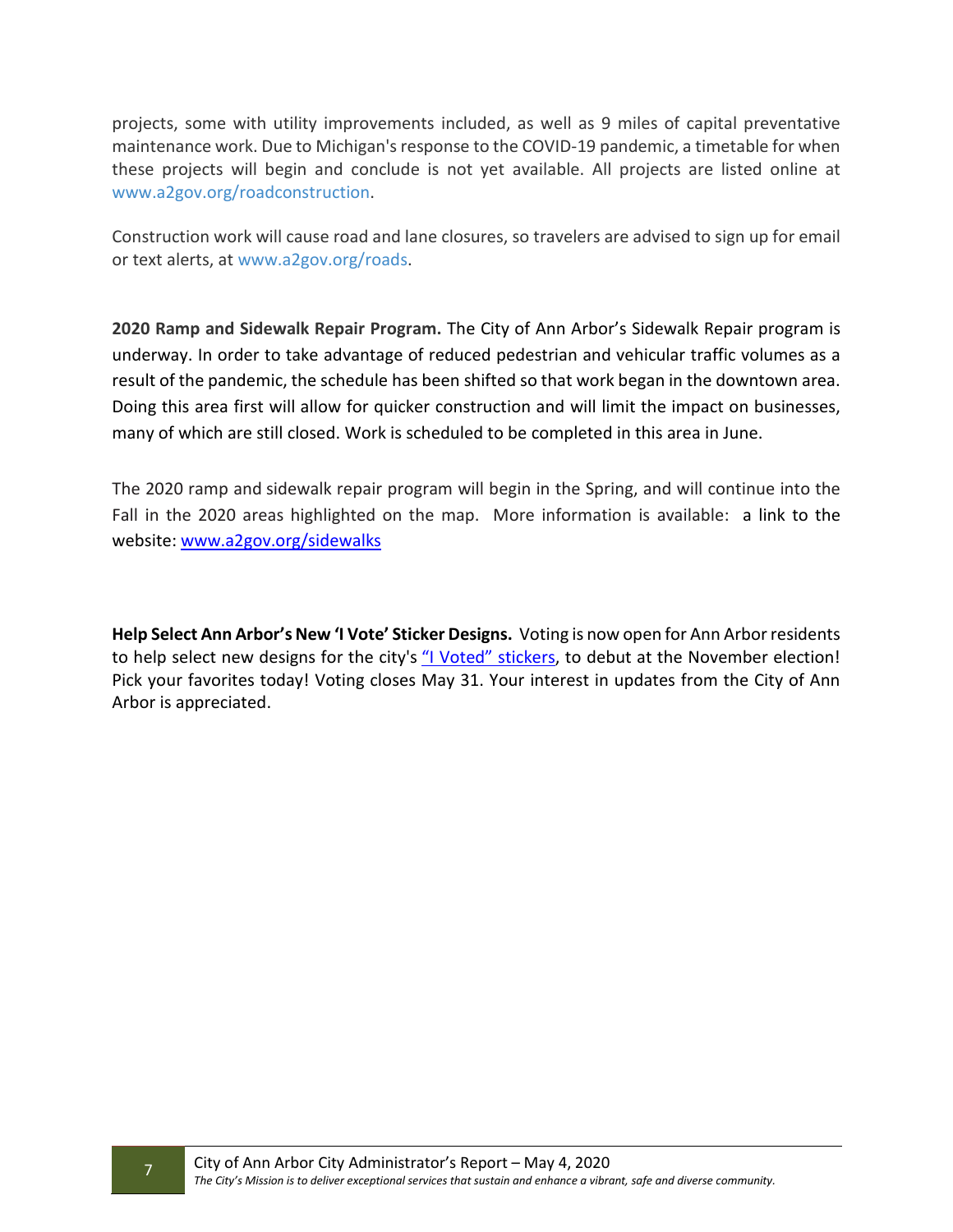projects, some with utility improvements included, as well as 9 miles of capital preventative maintenance work. Due to Michigan's response to the COVID-19 pandemic, a timetable for when these projects will begin and conclude is not yet available. All projects are listed online at [www.a2gov.org/roadconstruction.](http://www.a2gov.org/roadconstruction)

Construction work will cause road and lane closures, so travelers are advised to sign up for email or text alerts, a[t www.a2gov.org/roads.](http://www.a2gov.org/roads)

**2020 Ramp and Sidewalk Repair Program.** The City of Ann Arbor's Sidewalk Repair program is underway. In order to take advantage of reduced pedestrian and vehicular traffic volumes as a result of the pandemic, the schedule has been shifted so that work began in the downtown area. Doing this area first will allow for quicker construction and will limit the impact on businesses, many of which are still closed. Work is scheduled to be completed in this area in June.

The 2020 ramp and sidewalk repair program will begin in the Spring, and will continue into the Fall in the 2020 areas highlighted on the map. More information is available: a link to the website: [www.a2gov.org/sidewalks](http://www.a2gov.org/sidewalks)

**Help Select Ann Arbor's New 'I Vote' Sticker Designs.** Voting is now open for Ann Arbor residents to help select new designs for the city's ["I Voted" stickers,](https://gcc02.safelinks.protection.outlook.com/?url=https%3A%2F%2Flnks.gd%2Fl%2FeyJhbGciOiJIUzI1NiJ9.eyJidWxsZXRpbl9saW5rX2lkIjoxMDIsInVyaSI6ImJwMjpjbGljayIsImJ1bGxldGluX2lkIjoiMjAyMDA1MDEuMjA5NDA2NTEiLCJ1cmwiOiJodHRwczovL3d3dy5hMmdvdi5vcmcvbmV3cy9wYWdlcy9hcnRpY2xlLmFzcHg_aT02ODUifQ.V4dsh9AZ9y-9LnEsaejDvFyZE3gqk4xZ8a5tYFbOMcE%2Fbr%2F78138429428-l&data=02%7C01%7Cshiggins%40a2gov.org%7Cab9370768734491754e508d7ee09de24%7C48afa58563754170b9d1e9c568bb92f3%7C0%7C0%7C637239598462211560&sdata=WT9CFWAZTs0nAKZMzBjhMeh1%2FeX8eH%2BFBQIGa9%2Fm8kE%3D&reserved=0) to debut at the November election! Pick your favorites today! Voting closes May 31. Your interest in updates from the City of Ann Arbor is appreciated.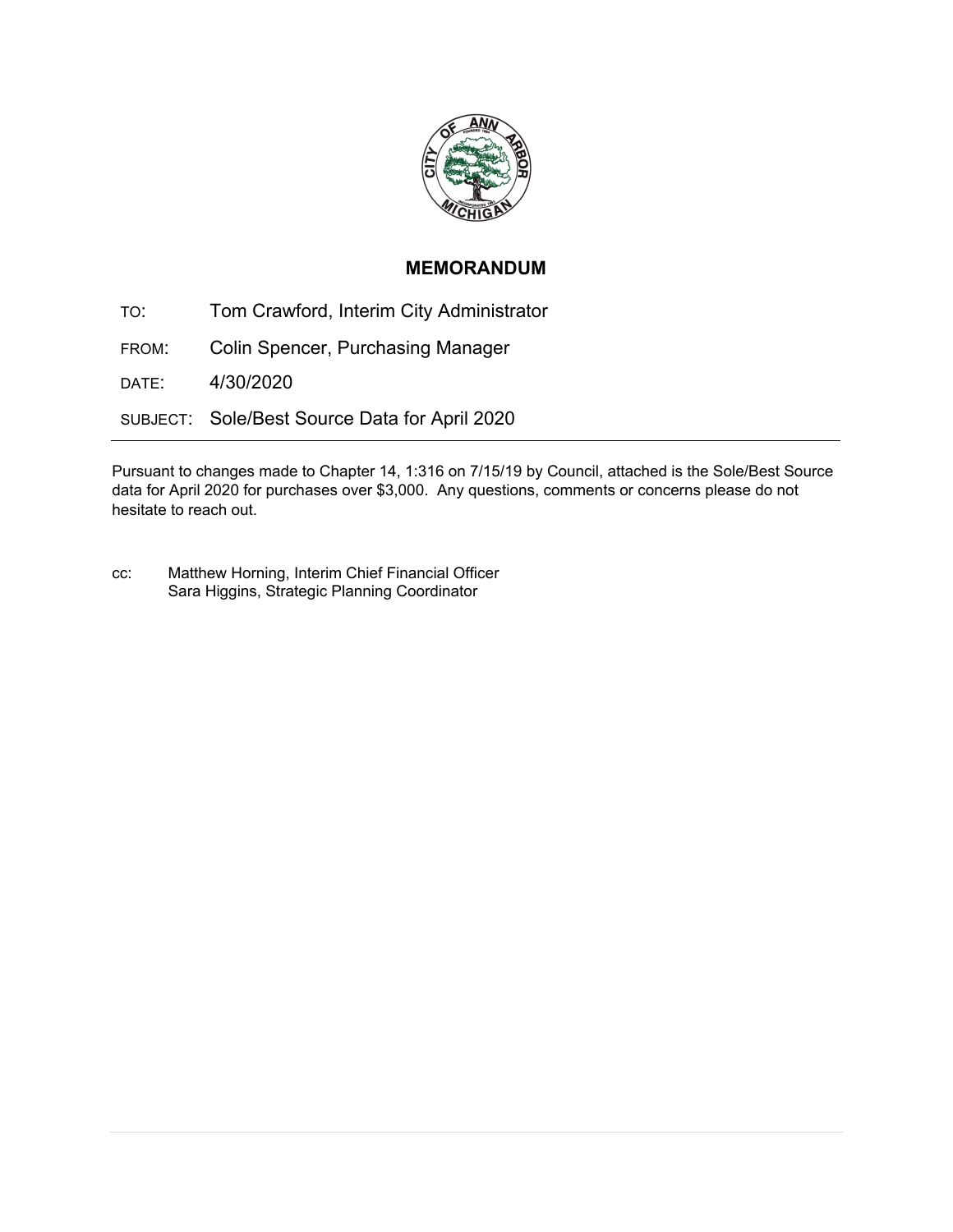

## **MEMORANDUM**

TO: Tom Crawford, Interim City Administrator FROM: Colin Spencer, Purchasing Manager DATE: 4/30/2020 SUBJECT: Sole/Best Source Data for April 2020

Pursuant to changes made to Chapter 14, 1:316 on 7/15/19 by Council, attached is the Sole/Best Source data for April 2020 for purchases over \$3,000. Any questions, comments or concerns please do not hesitate to reach out.

cc: Matthew Horning, Interim Chief Financial Officer Sara Higgins, Strategic Planning Coordinator